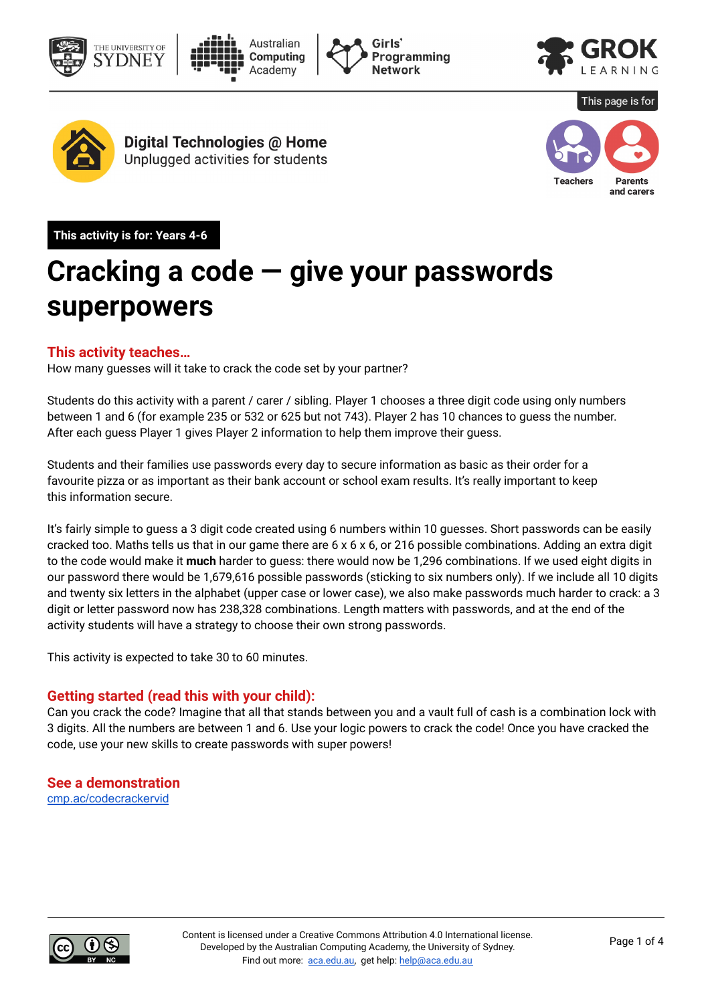









Digital Technologies @ Home Unplugged activities for students



**This activity is for: Years 4-6** 

## **Cracking a code — give your passwords superpowers**

#### **This activity teaches…**

How many guesses will it take to crack the code set by your partner?

Students do this activity with a parent / carer / sibling. Player 1 chooses a three digit code using only numbers between 1 and 6 (for example 235 or 532 or 625 but not 743). Player 2 has 10 chances to guess the number. After each guess Player 1 gives Player 2 information to help them improve their guess.

Students and their families use passwords every day to secure information as basic as their order for a favourite pizza or as important as their bank account or school exam results. It's really important to keep this information secure.

It's fairly simple to guess a 3 digit code created using 6 numbers within 10 guesses. Short passwords can be easily cracked too. Maths tells us that in our game there are 6 x 6 x 6, or 216 possible combinations. Adding an extra digit to the code would make it **much** harder to guess: there would now be 1,296 combinations. If we used eight digits in our password there would be 1,679,616 possible passwords (sticking to six numbers only). If we include all 10 digits and twenty six letters in the alphabet (upper case or lower case), we also make passwords much harder to crack: a 3 digit or letter password now has 238,328 combinations. Length matters with passwords, and at the end of the activity students will have a strategy to choose their own strong passwords.

This activity is expected to take 30 to 60 minutes.

#### **Getting started (read this with your child):**

Can you crack the code? Imagine that all that stands between you and a vault full of cash is a combination lock with 3 digits. All the numbers are between 1 and 6. Use your logic powers to crack the code! Once you have cracked the code, use your new skills to create passwords with super powers!

**See a demonstration**  [cmp.ac/codecrackervid](http://cmp.ac/codecrackervid)

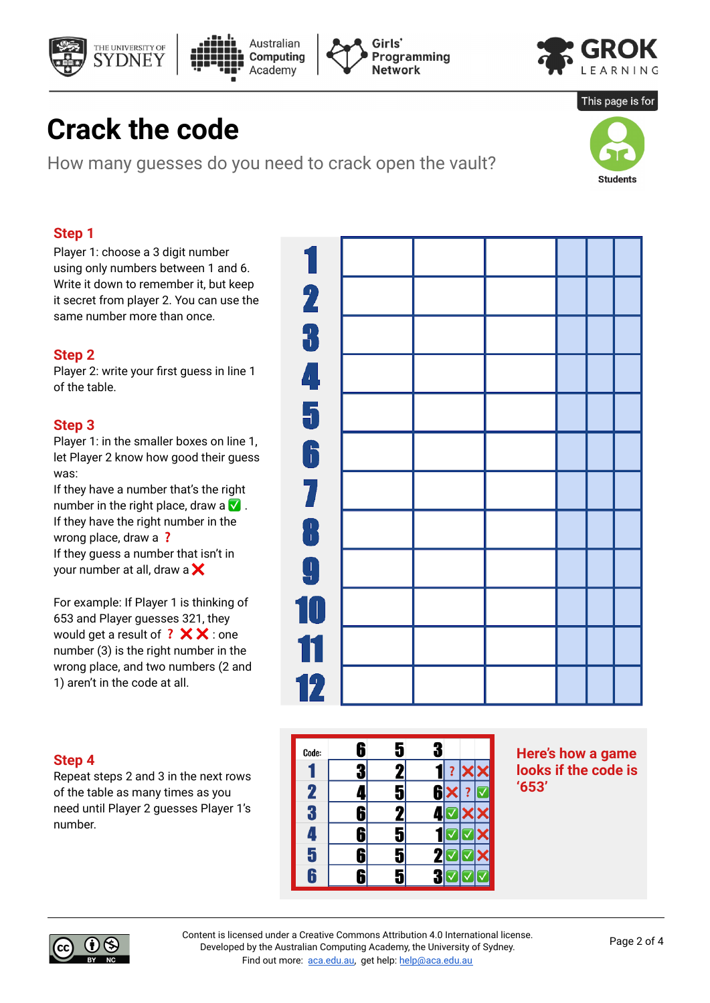







This page is for

## **Crack the code**

How many guesses do you need to crack open the vault?

# **Students**

#### **Step 1**

Player 1: choose a 3 digit number using only numbers between 1 and 6. Write it down to remember it, but keep it secret from player 2. You can use the same number more than once.

#### **Step 2**

Player 2: write your first guess in line 1 of the table.

#### **Step 3**

Player 1: in the smaller boxes on line 1, let Player 2 know how good their guess was:

If they have a number that's the right number in the right place, draw a  $\vee$ . If they have the right number in the wrong place, draw a ? If they guess a number that isn't in your number at all, draw a  $\mathsf{\times}$ 

For example: If Player 1 is thinking of 653 and Player guesses 321, they would get a result of  $?$   $\times$   $\times$  : one number (3) is the right number in the wrong place, and two numbers (2 and 1) aren't in the code at all.

#### **Step 4**

Repeat steps 2 and 3 in the next rows of the table as many times as you need until Player 2 guesses Player 1's number.





**Here's how a game looks if the code is '653'** 



Content is licensed under a Creative Commons [Attribution](https://creativecommons.org/licenses/by/4.0/) 4.0 International [license.](https://creativecommons.org/licenses/by/4.0/) Developed by the Australian Computing Academy, the University of Sydney. Find out more: [aca.edu.au](http://aca.edu.au/), get help: [help@aca.edu.au](mailto:help@aca.edu.au)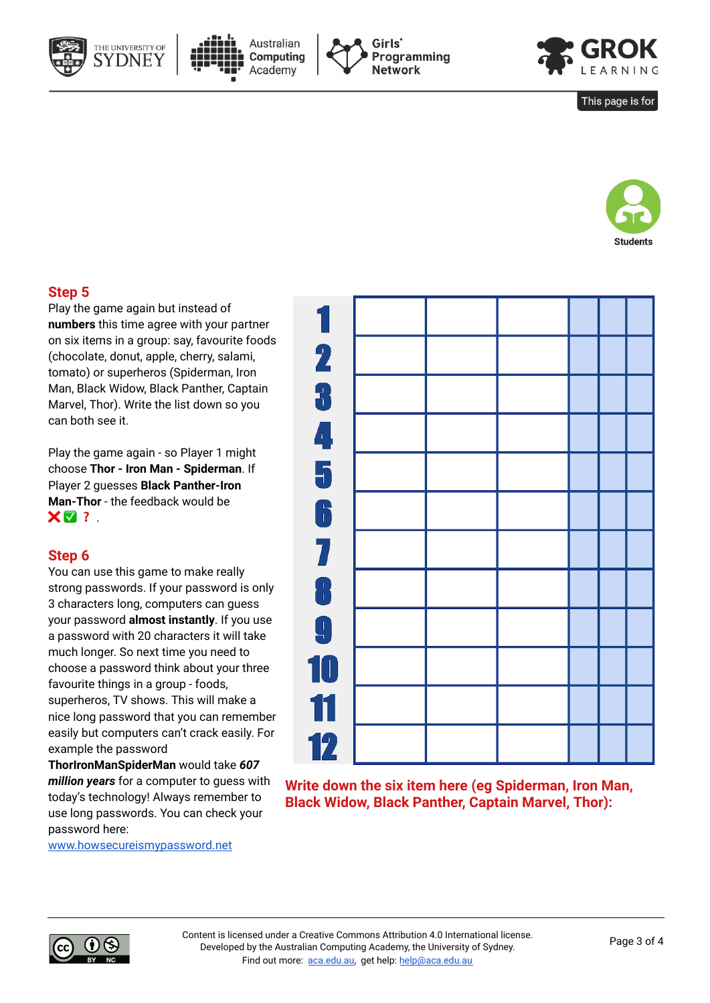







This page is for



#### **Step 5**

Play the game again but instead of **numbers** this time agree with your partner on six items in a group: say, favourite foods (chocolate, donut, apple, cherry, salami, tomato) or superheros (Spiderman, Iron Man, Black Widow, Black Panther, Captain Marvel, Thor). Write the list down so you can both see it.

Play the game again - so Player 1 might choose **Thor - Iron Man - Spiderman**. If Player 2 guesses **Black Panther-Iron Man-Thor** - the feedback would be  $X \nabla$  ?

#### **Step 6**

You can use this game to make really strong passwords. If your password is only 3 characters long, computers can guess your password **almost instantly**. If you use a password with 20 characters it will take much longer. So next time you need to choose a password think about your three favourite things in a group - foods, superheros, TV shows. This will make a nice long password that you can remember easily but computers can't crack easily. For example the password

**ThorIronManSpiderMan** would take *607 million years* for a computer to guess with today's technology! Always remember to use long passwords. You can check your password here:

[www.howsecureismypassword.net](http://www.howsecureismypassword.net/)

**Write down the six item here (eg Spiderman, Iron Man, Black Widow, Black Panther, Captain Marvel, Thor):**